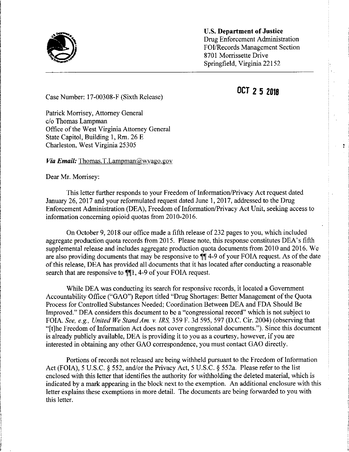

U.S. Department of Justice Drug Enforcement Administration FOI/Records Management Section 8701 Morrissette Drive Springfield, Virginia 22152

OCT 2 5 2018

Case Number: 17-00308-F (Sixth Release)

Patrick Morrisey, Attorney General c/o Thomas Lampman Office of the West Virginia Attorney General State Capitol, Building 1, Rm. 26 E Charleston, West Virginia 25305

Via Email: Thomas.T.Lampman@wyago.gov

Dear Mr. Morrisey:

i

This letter further responds to your Freedom of Information/Privacy Act request dated January 26, 2017 and your reformulated request dated June 1, 2017, addressed to the Drug Enforcement Administration (DEA), Freedom of Information/Privacy Act Unit, seeking access to information concerning opioid quotas from 2010-2016.

On October 9, 2018 our office made a fifth release of 232 pages to you, which included aggregate production quota records from 2015. Please note, this response constitutes DEA's fifth supplemental release and includes aggregate production quota documents from 2010 and 2016. We are also providing documents that may be responsive to  $\P$  4-9 of your FOIA request. As of the date ofthis release, DEA has provided all documents that it has located after conducting a reasonable search that are responsive to  $\P$ [1, 4-9 of your FOIA request.

While DEA was conducting its search for responsive records, it located a Government Accountability Office ("GAO") Report titled "Drug Shortages: Better Management of the Quota Process for Controlled Substances Needed; Coordination Between DEA and FDA Should Be Improved." DEA considers this document to be a "congressional record" which is not subject to FOIA. See, e.g., United We Stand Am. v. IRS, 359 F. 3d 595, 597 (D.C. Cir. 2004) (observing that "[t]he Freedom of Information Act does not cover congressional documents."). Since this document is already publicly available, DEA is providing it to you as <sup>a</sup> courtesy, however, if you are interested in obtaining any other GAO correspondence, you must contact GAO directly.

Portions of records not released are being withheld pursuant to the Freedom of Information Act (FOIA), 5 U.S.C. § 552, and/or the Privacy Act, 5 U.S.C. § 552a. Please refer to the list enclosed with this letter that identifies the authority for withholding the deleted material, which is indicated by a mark appearing in the block next to the exemption. An additional enclosure with this letter explains these exemptions in more detail. The documents are being forwarded to you with this letter.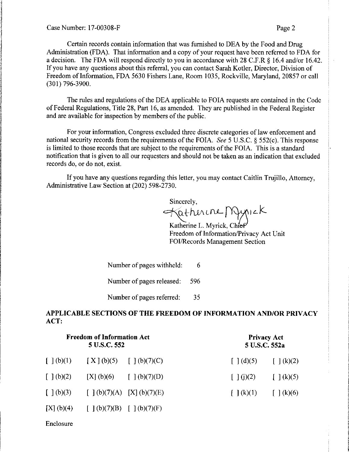I

ing<br>Ing

i s

i

f

Certain records contain information that was furnished to DEA by the Food and Drug ! Administration (FDA). That information and a copy of your request have been referred to FDA for <sup>j</sup> a decision. The FDA will respond directly to you in accordance with 28 C.F.R  $\&$  16.4 and/or 16.42. If you have any questions about this referral, you can contact Sarah Kotler, Director, Division of <sup>j</sup> Freedom of Information, FDA 5630 Fishers Lane, Room 1035, Rockville, Maryland, 20857 or call (301)796-3900.

The rules and regulations of the DEA applicable to FOIA requests are contained in the Code of Federal Regulations, Title 28, Part 16, as amended. They are published in the Federal Register and are available for inspection by members of the public.

For your information, Congress excluded three discrete categories of law enforcement and national security records from the requirements of the FOIA. See <sup>5</sup> U.S.C. § 552(c). This response is limited to those records that are subject to the requirements of the FOIA. This is a standard notification that is given to all our requesters and should not be taken as an indication that excluded records do, or do not, exist.

If you have any questions regarding this letter, you may contact Caitlin Trujillo, Attorney, Administrative Law Section at (202) 598-2730.

Sincerely,  $\forall$ atherine Mynick

Katherine L. Myrick, Chief Freedom of Information/Privacy Act Unit FOI/Records Management Section

Number of pages withheld: 6 Number of pages released: 596

Number of pages referred: 35

## APPLICABLE SECTIONS OF THE FREEDOM OF INFORMATION AND/OR PRIVACY ACT:

| <b>Freedom of Information Act</b><br>5 U.S.C. 552 |                                                                                                                 |  | <b>Privacy Act</b><br>5 U.S.C. 552a |                                                              |
|---------------------------------------------------|-----------------------------------------------------------------------------------------------------------------|--|-------------------------------------|--------------------------------------------------------------|
|                                                   | $\begin{bmatrix} 1 & b & c \end{bmatrix}$ $(X \mid b)(5)$ $\begin{bmatrix} 1 & b & c \end{bmatrix}$ $(b)(7)(C)$ |  |                                     | $\lceil (d)(5) \rceil$ $\lceil (k)(2) \rceil$                |
| $\lceil \, \cdot \rceil$ (b)(2)                   | [X] (b)(6) [ ] (b)(7)(D)                                                                                        |  | $\lceil \cdot \rceil$ (j)(2)        | $\int$ $\left( k\right) (5)$                                 |
|                                                   | $[ ] (b)(3) [ ] (b)(7)(A) [X] (b)(7)(E)$                                                                        |  |                                     | $\lceil \cdot \rceil(k)(1) \rceil \lceil \cdot \rceil(k)(6)$ |
|                                                   | [X] (b)(4) [ ] (b)(7)(B) [ ] (b)(7)(F)                                                                          |  |                                     |                                                              |

Enclosure